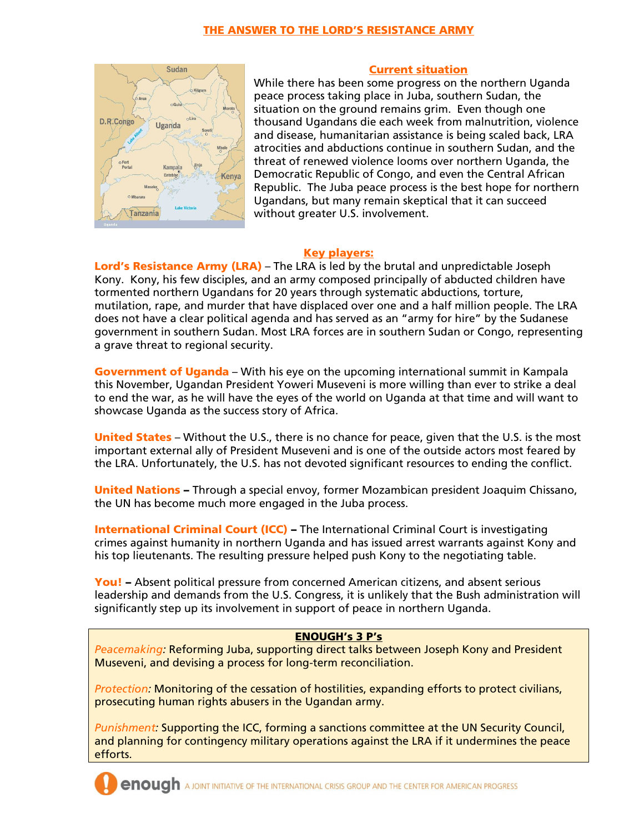

## Current situation

While there has been some progress on the northern Uganda peace process taking place in Juba, southern Sudan, the situation on the ground remains grim. Even though one thousand Ugandans die each week from malnutrition, violence and disease, humanitarian assistance is being scaled back, LRA atrocities and abductions continue in southern Sudan, and the threat of renewed violence looms over northern Uganda, the Democratic Republic of Congo, and even the Central African Republic. The Juba peace process is the best hope for northern Ugandans, but many remain skeptical that it can succeed without greater U.S. involvement.

## Key players:

Lord's Resistance Army (LRA) – The LRA is led by the brutal and unpredictable Joseph Kony. Kony, his few disciples, and an army composed principally of abducted children have tormented northern Ugandans for 20 years through systematic abductions, torture, mutilation, rape, and murder that have displaced over one and a half million people. The LRA does not have a clear political agenda and has served as an "army for hire" by the Sudanese government in southern Sudan. Most LRA forces are in southern Sudan or Congo, representing a grave threat to regional security.

Government of Uganda – With his eye on the upcoming international summit in Kampala this November, Ugandan President Yoweri Museveni is more willing than ever to strike a deal to end the war, as he will have the eyes of the world on Uganda at that time and will want to showcase Uganda as the success story of Africa.

United States – Without the U.S., there is no chance for peace, given that the U.S. is the most important external ally of President Museveni and is one of the outside actors most feared by the LRA. Unfortunately, the U.S. has not devoted significant resources to ending the conflict.

United Nations - Through a special envoy, former Mozambican president Joaquim Chissano, the UN has become much more engaged in the Juba process.

**International Criminal Court (ICC) – The International Criminal Court is investigating** crimes against humanity in northern Uganda and has issued arrest warrants against Kony and his top lieutenants. The resulting pressure helped push Kony to the negotiating table.

You! – Absent political pressure from concerned American citizens, and absent serious leadership and demands from the U.S. Congress, it is unlikely that the Bush administration will significantly step up its involvement in support of peace in northern Uganda.

## ENOUGH's 3 P's

*Peacemaking:* Reforming Juba, supporting direct talks between Joseph Kony and President Museveni, and devising a process for long-term reconciliation.

*Protection:* Monitoring of the cessation of hostilities, expanding efforts to protect civilians, prosecuting human rights abusers in the Ugandan army.

*Punishment:* Supporting the ICC, forming a sanctions committee at the UN Security Council, and planning for contingency military operations against the LRA if it undermines the peace efforts.